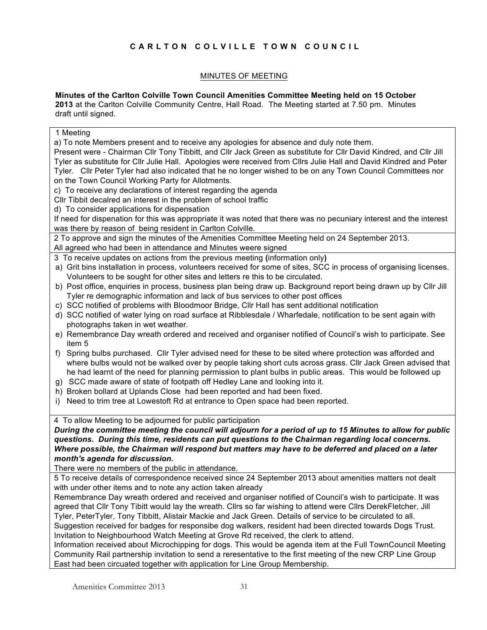# **CARLTON COLVILLE TOWN COUNCIL**

# MINUTES OF MEETING

**Minutes of the Carlton Colville Town Council Amenities Committee Meeting held on 15 October** 

**2013** at the Carlton Colville Community Centre, Hall Road. The Meeting started at 7.50 pm. Minutes draft until signed.

1 Meeting

a) To note Members present and to receive any apologies for absence and duly note them.

Present were - Chairman Cllr Tony Tibbitt, and Cllr Jack Green as substitute for Cllr David Kindred, and Cllr Jill Tyler as substitute for Cllr Julie Hall. Apologies were received from Cllrs Julie Hall and David Kindred and Peter Tyler. Cllr Peter Tyler had also indicated that he no longer wished to be on any Town Council Committees nor on the Town Council Working Party for Allotments.

c) To receive any declarations of interest regarding the agenda

Cllr Tibbit decalred an interest in the problem of school traffic

d) To consider applications for dispensation

If need for dispenation for this was appropriate it was noted that there was no pecuniary interest and the interest was there by reason of being resident in Carlton Colville.

2 To approve and sign the minutes of the Amenities Committee Meeting held on 24 September 2013.

All agreed who had been in attendance and Minutes weere signed

3 To receive updates on actions from the previous meeting **(**information only**)**

a) Grit bins installation in process, volunteers received for some of sites, SCC in process of organising licenses. Volunteers to be sought for other sites and letters re this to be circulated.

b) Post office, enquiries in process, business plan being draw up. Background report being drawn up by Cllr Jill Tyler re demographic information and lack of bus services to other post offices

- c) SCC notified of problems with Bloodmoor Bridge, Cllr Hall has sent additional notification
- d) SCC notified of water lying on road surface at Ribblesdale / Wharfedale, notification to be sent again with photographs taken in wet weather.
- e) Remembrance Day wreath ordered and received and organiser notified of Council's wish to participate. See item 5
- f) Spring bulbs purchased. Cllr Tyler advised need for these to be sited where protection was afforded and where bulbs would not be walked over by people taking short cuts across grass. Cllr Jack Green advised that he had learnt of the need for planning permission to plant bulbs in public areas. This would be followed up
- g) SCC made aware of state of footpath off Hedley Lane and looking into it.
- h) Broken bollard at Uplands Close had been reported and had been fixed.
- i) Need to trim tree at Lowestoft Rd at entrance to Open space had been reported.

4 To allow Meeting to be adjourned for public participation

*During the committee meeting the council will adjourn for a period of up to 15 Minutes to allow for public questions. During this time, residents can put questions to the Chairman regarding local concerns. Where possible, the Chairman will respond but matters may have to be deferred and placed on a later month's agenda for discussion.*

There were no members of the public in attendance.

5 To receive details of correspondence received since 24 September 2013 about amenities matters not dealt with under other items and to note any action taken already

Remembrance Day wreath ordered and received and organiser notified of Council's wish to participate. It was agreed that Cllr Tony Tibitt would lay the wreath. Cllrs so far wishing to attend were Cllrs DerekFletcher, Jill Tyler, PeterTyler, Tony Tibbitt, Alistair Mackie and Jack Green. Details of service to be circulated to all. Suggestion received for badges for responsibe dog walkers, resident had been directed towards Dogs Trust. Invitation to Neighbourhood Watch Meeting at Grove Rd received, the clerk to attend.

Information received about Microchipping for dogs. This would be agenda item at the Full TownCouncil Meeting Community Rail partnership invitation to send a reresentative to the first meeting of the new CRP Line Group East had been circuated together with application for Line Group Membership.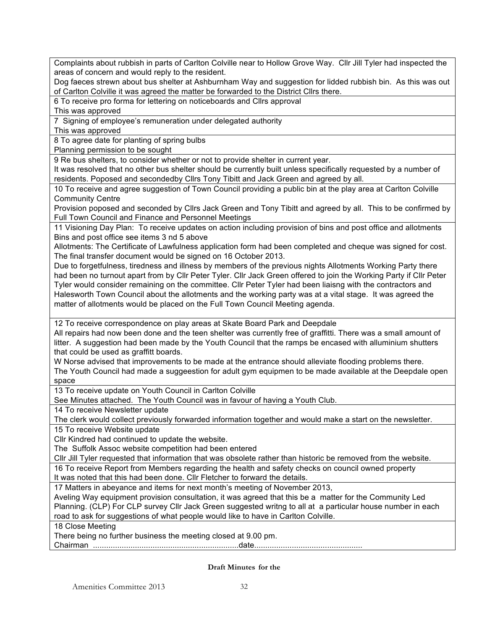Complaints about rubbish in parts of Carlton Colville near to Hollow Grove Way. Cllr Jill Tyler had inspected the areas of concern and would reply to the resident.

Dog faeces strewn about bus shelter at Ashburnham Way and suggestion for lidded rubbish bin. As this was out of Carlton Colville it was agreed the matter be forwarded to the District Cllrs there.

6 To receive pro forma for lettering on noticeboards and Cllrs approval

This was approved

7 Signing of employee's remuneration under delegated authority

This was approved

8 To agree date for planting of spring bulbs

Planning permission to be sought

9 Re bus shelters, to consider whether or not to provide shelter in current year.

It was resolved that no other bus shelter should be currently built unless specifically requested by a number of residents. Poposed and secondedby Cllrs Tony Tibitt and Jack Green and agreed by all.

10 To receive and agree suggestion of Town Council providing a public bin at the play area at Carlton Colville Community Centre

Provision poposed and seconded by Cllrs Jack Green and Tony Tibitt and agreed by all. This to be confirmed by Full Town Council and Finance and Personnel Meetings

11 Visioning Day Plan: To receive updates on action including provision of bins and post office and allotments Bins and post office see items 3 nd 5 above

Allotments: The Certificate of Lawfulness application form had been completed and cheque was signed for cost. The final transfer document would be signed on 16 October 2013.

Due to forgetfulness, tiredness and illness by members of the previous nights Allotments Working Party there had been no turnout apart from by Cllr Peter Tyler. Cllr Jack Green offered to join the Working Party if Cllr Peter Tyler would consider remaining on the committee. Cllr Peter Tyler had been liaisng with the contractors and Halesworth Town Council about the allotments and the working party was at a vital stage. It was agreed the matter of allotments would be placed on the Full Town Council Meeting agenda.

12 To receive correspondence on play areas at Skate Board Park and Deepdale

All repairs had now been done and the teen shelter was currently free of graffitti. There was a small amount of litter. A suggestion had been made by the Youth Council that the ramps be encased with alluminium shutters that could be used as graffitt boards.

W Norse advised that improvements to be made at the entrance should alleviate flooding problems there. The Youth Council had made a suggeestion for adult gym equipmen to be made available at the Deepdale open space

13 To receive update on Youth Council in Carlton Colville

See Minutes attached. The Youth Council was in favour of having a Youth Club.

14 To receive Newsletter update

The clerk would collect previously forwarded information together and would make a start on the newsletter.

15 To receive Website update

Cllr Kindred had continued to update the website.

The Suffolk Assoc website competition had been entered

Cllr Jill Tyler requested that information that was obsolete rather than historic be removed from the website.

16 To receive Report from Members regarding the health and safety checks on council owned property It was noted that this had been done. Cllr Fletcher to forward the details.

17 Matters in abeyance and items for next month's meeting of November 2013,

Aveling Way equipment provision consultation, it was agreed that this be a matter for the Community Led Planning. (CLP) For CLP survey Cllr Jack Green suggested writng to all at a particular house number in each road to ask for suggestions of what people would like to have in Carlton Colville.

18 Close Meeting

There being no further business the meeting closed at 9.00 pm.

Chairman ..................................................................date.................................................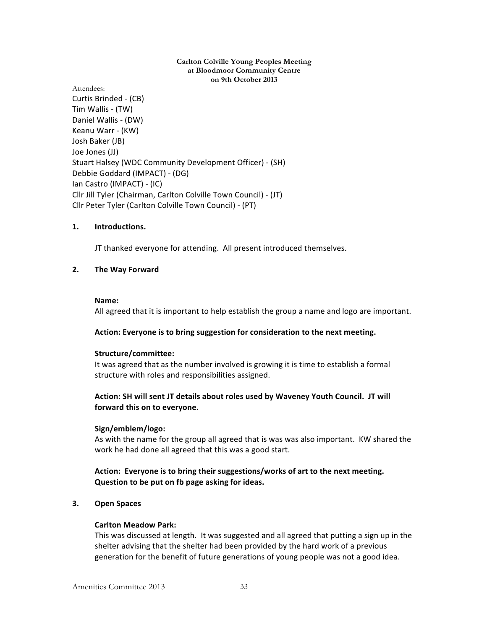#### **Carlton Colville Young Peoples Meeting at Bloodmoor Community Centre on 9th October 2013**

Attendees:

Curtis Brinded - (CB) Tim Wallis - (TW) Daniel Wallis - (DW) Keanu Warr - (KW) Josh Baker (JB) Joe Jones (JJ) Stuart Halsey (WDC Community Development Officer) - (SH) Debbie Goddard (IMPACT) - (DG) Ian Castro (IMPACT) - (IC) Cllr Jill Tyler (Chairman, Carlton Colville Town Council) - (JT) Cllr Peter Tyler (Carlton Colville Town Council) - (PT)

## **1. Introductions.**

JT thanked everyone for attending. All present introduced themselves.

## **2. The Way Forward**

#### **Name:**

All agreed that it is important to help establish the group a name and logo are important.

#### Action: Everyone is to bring suggestion for consideration to the next meeting.

#### **Structure/committee:**

It was agreed that as the number involved is growing it is time to establish a formal structure with roles and responsibilities assigned.

## Action: SH will sent JT details about roles used by Waveney Youth Council. JT will forward this on to everyone.

#### **Sign/emblem/logo:**

As with the name for the group all agreed that is was was also important. KW shared the work he had done all agreed that this was a good start.

## Action: Everyone is to bring their suggestions/works of art to the next meeting. **Question to be put on fb page asking for ideas.**

## **3. Open Spaces**

#### **Carlton Meadow Park:**

This was discussed at length. It was suggested and all agreed that putting a sign up in the shelter advising that the shelter had been provided by the hard work of a previous generation for the benefit of future generations of young people was not a good idea.